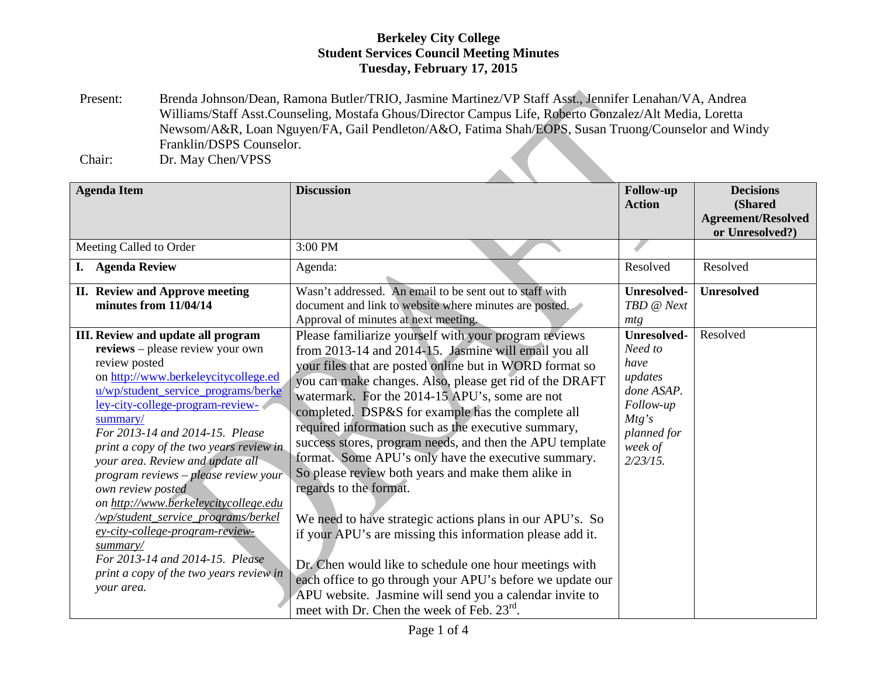Present: Brenda Johnson/Dean, Ramona Butler/TRIO, Jasmine Martinez/VP Staff Asst., Jennifer Lenahan/VA, Andrea Williams/Staff Asst.Counseling, Mostafa Ghous/Director Campus Life, Roberto Gonzalez/Alt Media, Loretta Newsom/A&R, Loan Nguyen/FA, Gail Pendleton/A&O, Fatima Shah/EOPS, Susan Truong/Counselor and Windy Franklin/DSPS Counselor.

Chair: Dr. May Chen/VPSS

| <b>Agenda Item</b>                                                                                                                                                                                                                                                                                                                                                                                                                                                                                                                                                                                                               | <b>Discussion</b>                                                                                                                                                                                                                                                                                                                                                                                                                                                                                                                                                                                                                                                                                                                                                                                                                                                                                                                                                         | Follow-up<br><b>Action</b>                                                                                                    | <b>Decisions</b><br>(Shared<br><b>Agreement/Resolved</b> |
|----------------------------------------------------------------------------------------------------------------------------------------------------------------------------------------------------------------------------------------------------------------------------------------------------------------------------------------------------------------------------------------------------------------------------------------------------------------------------------------------------------------------------------------------------------------------------------------------------------------------------------|---------------------------------------------------------------------------------------------------------------------------------------------------------------------------------------------------------------------------------------------------------------------------------------------------------------------------------------------------------------------------------------------------------------------------------------------------------------------------------------------------------------------------------------------------------------------------------------------------------------------------------------------------------------------------------------------------------------------------------------------------------------------------------------------------------------------------------------------------------------------------------------------------------------------------------------------------------------------------|-------------------------------------------------------------------------------------------------------------------------------|----------------------------------------------------------|
| Meeting Called to Order                                                                                                                                                                                                                                                                                                                                                                                                                                                                                                                                                                                                          | 3:00 PM                                                                                                                                                                                                                                                                                                                                                                                                                                                                                                                                                                                                                                                                                                                                                                                                                                                                                                                                                                   |                                                                                                                               | or Unresolved?)                                          |
| <b>Agenda Review</b><br>I.                                                                                                                                                                                                                                                                                                                                                                                                                                                                                                                                                                                                       | Agenda:                                                                                                                                                                                                                                                                                                                                                                                                                                                                                                                                                                                                                                                                                                                                                                                                                                                                                                                                                                   | Resolved                                                                                                                      | Resolved                                                 |
| <b>II. Review and Approve meeting</b><br>minutes from 11/04/14                                                                                                                                                                                                                                                                                                                                                                                                                                                                                                                                                                   | Wasn't addressed. An email to be sent out to staff with<br>document and link to website where minutes are posted.<br>Approval of minutes at next meeting.                                                                                                                                                                                                                                                                                                                                                                                                                                                                                                                                                                                                                                                                                                                                                                                                                 | <b>Unresolved-</b><br>TBD @ Next<br>mtg                                                                                       | <b>Unresolved</b>                                        |
| III. Review and update all program<br>reviews - please review your own<br>review posted<br>on http://www.berkeleycitycollege.ed<br>u/wp/student_service_programs/berke<br>ley-city-college-program-review-<br>summary/<br>For 2013-14 and 2014-15. Please<br>print a copy of the two years review in<br>your area. Review and update all<br>program reviews - please review your<br>own review posted<br>on http://www.berkeleycitycollege.edu<br>/wp/student_service_programs/berkel<br>ey-city-college-program-review-<br>summary/<br>For 2013-14 and 2014-15. Please<br>print a copy of the two years review in<br>your area. | Please familiarize yourself with your program reviews<br>from 2013-14 and 2014-15. Jasmine will email you all<br>your files that are posted online but in WORD format so<br>you can make changes. Also, please get rid of the DRAFT<br>watermark. For the 2014-15 APU's, some are not<br>completed. DSP&S for example has the complete all<br>required information such as the executive summary,<br>success stores, program needs, and then the APU template<br>format. Some APU's only have the executive summary.<br>So please review both years and make them alike in<br>regards to the format.<br>We need to have strategic actions plans in our APU's. So<br>if your APU's are missing this information please add it.<br>Dr. Chen would like to schedule one hour meetings with<br>each office to go through your APU's before we update our<br>APU website. Jasmine will send you a calendar invite to<br>meet with Dr. Chen the week of Feb. 23 <sup>rd</sup> . | <b>Unresolved-</b><br>Need to<br>have<br>updates<br>done ASAP.<br>Follow-up<br>Mtg's<br>planned for<br>week of<br>$2/23/15$ . | Resolved                                                 |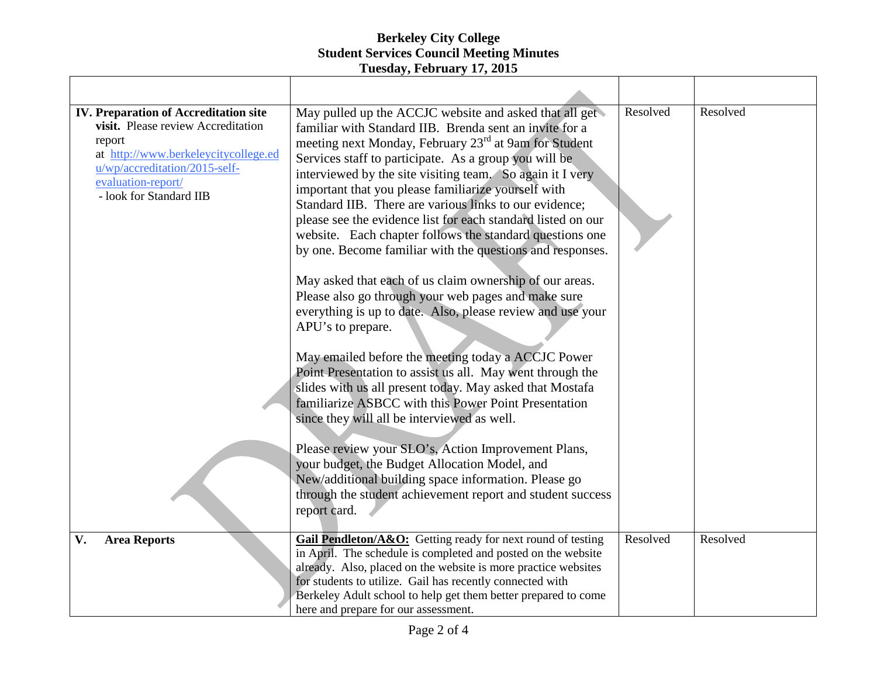| <b>IV. Preparation of Accreditation site</b><br>visit. Please review Accreditation<br>report<br>at http://www.berkeleycitycollege.ed<br>u/wp/accreditation/2015-self-<br>evaluation-report/<br>- look for Standard IIB | May pulled up the ACCJC website and asked that all get<br>familiar with Standard IIB. Brenda sent an invite for a<br>meeting next Monday, February 23 <sup>rd</sup> at 9am for Student<br>Services staff to participate. As a group you will be<br>interviewed by the site visiting team. So again it I very<br>important that you please familiarize yourself with<br>Standard IIB. There are various links to our evidence;<br>please see the evidence list for each standard listed on our<br>website. Each chapter follows the standard questions one<br>by one. Become familiar with the questions and responses.<br>May asked that each of us claim ownership of our areas.<br>Please also go through your web pages and make sure<br>everything is up to date. Also, please review and use your | Resolved | Resolved |
|------------------------------------------------------------------------------------------------------------------------------------------------------------------------------------------------------------------------|--------------------------------------------------------------------------------------------------------------------------------------------------------------------------------------------------------------------------------------------------------------------------------------------------------------------------------------------------------------------------------------------------------------------------------------------------------------------------------------------------------------------------------------------------------------------------------------------------------------------------------------------------------------------------------------------------------------------------------------------------------------------------------------------------------|----------|----------|
|                                                                                                                                                                                                                        | APU's to prepare.<br>May emailed before the meeting today a ACCJC Power<br>Point Presentation to assist us all. May went through the<br>slides with us all present today. May asked that Mostafa<br>familiarize ASBCC with this Power Point Presentation<br>since they will all be interviewed as well.<br>Please review your SLO's, Action Improvement Plans,<br>your budget, the Budget Allocation Model, and                                                                                                                                                                                                                                                                                                                                                                                        |          |          |
|                                                                                                                                                                                                                        | New/additional building space information. Please go<br>through the student achievement report and student success<br>report card.                                                                                                                                                                                                                                                                                                                                                                                                                                                                                                                                                                                                                                                                     |          |          |
| V.<br><b>Area Reports</b>                                                                                                                                                                                              | Gail Pendleton/A&O: Getting ready for next round of testing<br>in April. The schedule is completed and posted on the website<br>already. Also, placed on the website is more practice websites<br>for students to utilize. Gail has recently connected with<br>Berkeley Adult school to help get them better prepared to come<br>here and prepare for our assessment.                                                                                                                                                                                                                                                                                                                                                                                                                                  | Resolved | Resolved |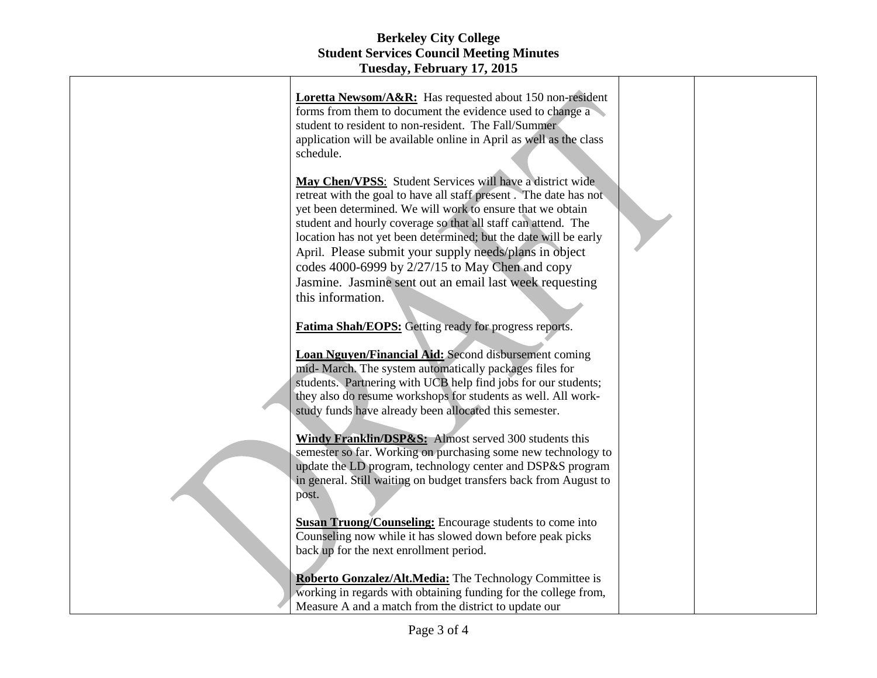| Loretta Newsom/A&R: Has requested about 150 non-resident                                                                        |  |
|---------------------------------------------------------------------------------------------------------------------------------|--|
| forms from them to document the evidence used to change a                                                                       |  |
| student to resident to non-resident. The Fall/Summer                                                                            |  |
| application will be available online in April as well as the class                                                              |  |
| schedule.                                                                                                                       |  |
|                                                                                                                                 |  |
| May Chen/VPSS: Student Services will have a district wide                                                                       |  |
| retreat with the goal to have all staff present. The date has not                                                               |  |
| yet been determined. We will work to ensure that we obtain                                                                      |  |
| student and hourly coverage so that all staff can attend. The                                                                   |  |
| location has not yet been determined; but the date will be early                                                                |  |
| April. Please submit your supply needs/plans in object                                                                          |  |
| codes 4000-6999 by 2/27/15 to May Chen and copy                                                                                 |  |
|                                                                                                                                 |  |
| Jasmine. Jasmine sent out an email last week requesting                                                                         |  |
| this information.                                                                                                               |  |
|                                                                                                                                 |  |
| <b>Fatima Shah/EOPS:</b> Getting ready for progress reports.                                                                    |  |
|                                                                                                                                 |  |
| <b>Loan Nguyen/Financial Aid:</b> Second disbursement coming                                                                    |  |
| mid- March. The system automatically packages files for                                                                         |  |
| students. Partnering with UCB help find jobs for our students;<br>they also do resume workshops for students as well. All work- |  |
| study funds have already been allocated this semester.                                                                          |  |
|                                                                                                                                 |  |
| Windy Franklin/DSP&S: Almost served 300 students this                                                                           |  |
| semester so far. Working on purchasing some new technology to                                                                   |  |
| update the LD program, technology center and DSP&S program                                                                      |  |
| in general. Still waiting on budget transfers back from August to                                                               |  |
| post.                                                                                                                           |  |
|                                                                                                                                 |  |
| <b>Susan Truong/Counseling:</b> Encourage students to come into                                                                 |  |
| Counseling now while it has slowed down before peak picks                                                                       |  |
| back up for the next enrollment period.                                                                                         |  |
|                                                                                                                                 |  |
| <b>Roberto Gonzalez/Alt.Media:</b> The Technology Committee is                                                                  |  |
| working in regards with obtaining funding for the college from,                                                                 |  |
| Measure A and a match from the district to update our                                                                           |  |